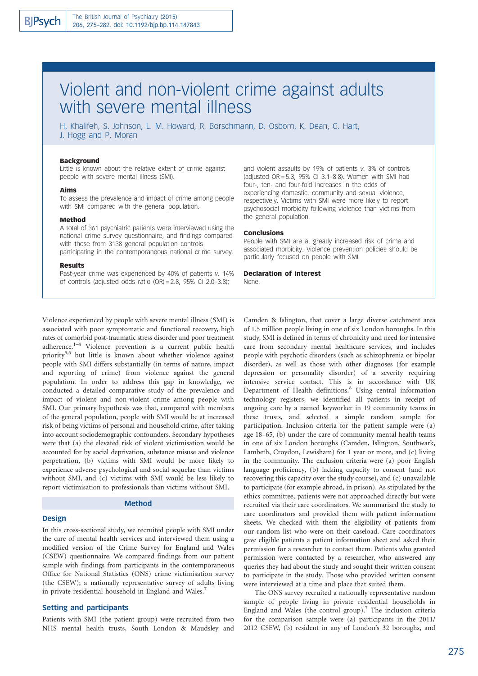# Violent and non-violent crime against adults with severe mental illness

H. Khalifeh, S. Johnson, L. M. Howard, R. Borschmann, D. Osborn, K. Dean, C. Hart, J. Hogg and P. Moran

#### Background

Little is known about the relative extent of crime against people with severe mental illness (SMI).

## Aims

To assess the prevalence and impact of crime among people with SMI compared with the general population.

#### Method

A total of 361 psychiatric patients were interviewed using the national crime survey questionnaire, and findings compared with those from 3138 general population controls participating in the contemporaneous national crime survey.

#### Results

Past-year crime was experienced by 40% of patients v. 14% of controls (adjusted odds ratio  $(OR) = 2.8$ , 95% CI 2.0-3.8);

and violent assaults by 19% of patients v. 3% of controls (adjusted  $OR = 5.3$ ,  $95\%$  CI 3.1–8.8). Women with SMI had four-, ten- and four-fold increases in the odds of experiencing domestic, community and sexual violence, respectively. Victims with SMI were more likely to report psychosocial morbidity following violence than victims from the general population.

#### Conclusions

People with SMI are at greatly increased risk of crime and associated morbidity. Violence prevention policies should be particularly focused on people with SMI.

## Declaration of interest

None.

Violence experienced by people with severe mental illness (SMI) is associated with poor symptomatic and functional recovery, high rates of comorbid post-traumatic stress disorder and poor treatment adherence.1–4 Violence prevention is a current public health priority5,6 but little is known about whether violence against people with SMI differs substantially (in terms of nature, impact and reporting of crime) from violence against the general population. In order to address this gap in knowledge, we conducted a detailed comparative study of the prevalence and impact of violent and non-violent crime among people with SMI. Our primary hypothesis was that, compared with members of the general population, people with SMI would be at increased risk of being victims of personal and household crime, after taking into account sociodemographic confounders. Secondary hypotheses were that (a) the elevated risk of violent victimisation would be accounted for by social deprivation, substance misuse and violence perpetration, (b) victims with SMI would be more likely to experience adverse psychological and social sequelae than victims without SMI, and (c) victims with SMI would be less likely to report victimisation to professionals than victims without SMI.

#### Method

# Design

In this cross-sectional study, we recruited people with SMI under the care of mental health services and interviewed them using a modified version of the Crime Survey for England and Wales (CSEW) questionnaire. We compared findings from our patient sample with findings from participants in the contemporaneous Office for National Statistics (ONS) crime victimisation survey (the CSEW); a nationally representative survey of adults living in private residential household in England and Wales.<sup>7</sup>

# Setting and participants

Patients with SMI (the patient group) were recruited from two NHS mental health trusts, South London & Maudsley and Camden & Islington, that cover a large diverse catchment area of 1.5 million people living in one of six London boroughs. In this study, SMI is defined in terms of chronicity and need for intensive care from secondary mental healthcare services, and includes people with psychotic disorders (such as schizophrenia or bipolar disorder), as well as those with other diagnoses (for example depression or personality disorder) of a severity requiring intensive service contact. This is in accordance with UK Department of Health definitions.<sup>8</sup> Using central information technology registers, we identified all patients in receipt of ongoing care by a named keyworker in 19 community teams in these trusts, and selected a simple random sample for participation. Inclusion criteria for the patient sample were (a) age 18–65, (b) under the care of community mental health teams in one of six London boroughs (Camden, Islington, Southwark, Lambeth, Croydon, Lewisham) for 1 year or more, and (c) living in the community. The exclusion criteria were (a) poor English language proficiency, (b) lacking capacity to consent (and not recovering this capacity over the study course), and (c) unavailable to participate (for example abroad, in prison). As stipulated by the ethics committee, patients were not approached directly but were recruited via their care coordinators. We summarised the study to care coordinators and provided them with patient information sheets. We checked with them the eligibility of patients from our random list who were on their caseload. Care coordinators gave eligible patients a patient information sheet and asked their permission for a researcher to contact them. Patients who granted permission were contacted by a researcher, who answered any queries they had about the study and sought their written consent to participate in the study. Those who provided written consent were interviewed at a time and place that suited them.

The ONS survey recruited a nationally representative random sample of people living in private residential households in England and Wales (the control group).<sup>7</sup> The inclusion criteria for the comparison sample were (a) participants in the 2011/ 2012 CSEW, (b) resident in any of London's 32 boroughs, and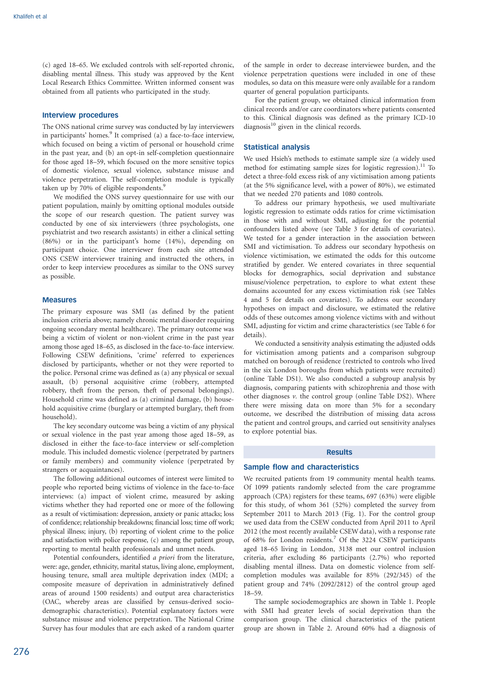(c) aged 18–65. We excluded controls with self-reported chronic, disabling mental illness. This study was approved by the Kent Local Research Ethics Committee. Written informed consent was obtained from all patients who participated in the study.

# Interview procedures

The ONS national crime survey was conducted by lay interviewers in participants' homes.<sup>9</sup> It comprised (a) a face-to-face interview, which focused on being a victim of personal or household crime in the past year, and (b) an opt-in self-completion questionnaire for those aged 18–59, which focused on the more sensitive topics of domestic violence, sexual violence, substance misuse and violence perpetration. The self-completion module is typically taken up by 70% of eligible respondents.<sup>9</sup>

We modified the ONS survey questionnaire for use with our patient population, mainly by omitting optional modules outside the scope of our research question. The patient survey was conducted by one of six interviewers (three psychologists, one psychiatrist and two research assistants) in either a clinical setting (86%) or in the participant's home (14%), depending on participant choice. One interviewer from each site attended ONS CSEW interviewer training and instructed the others, in order to keep interview procedures as similar to the ONS survey as possible.

## Measures

The primary exposure was SMI (as defined by the patient inclusion criteria above; namely chronic mental disorder requiring ongoing secondary mental healthcare). The primary outcome was being a victim of violent or non-violent crime in the past year among those aged 18–65, as disclosed in the face-to-face interview. Following CSEW definitions, 'crime' referred to experiences disclosed by participants, whether or not they were reported to the police. Personal crime was defined as (a) any physical or sexual assault, (b) personal acquisitive crime (robbery, attempted robbery, theft from the person, theft of personal belongings). Household crime was defined as (a) criminal damage, (b) household acquisitive crime (burglary or attempted burglary, theft from household).

The key secondary outcome was being a victim of any physical or sexual violence in the past year among those aged 18–59, as disclosed in either the face-to-face interview or self-completion module. This included domestic violence (perpetrated by partners or family members) and community violence (perpetrated by strangers or acquaintances).

The following additional outcomes of interest were limited to people who reported being victims of violence in the face-to-face interviews: (a) impact of violent crime, measured by asking victims whether they had reported one or more of the following as a result of victimisation: depression, anxiety or panic attacks; loss of confidence; relationship breakdowns; financial loss; time off work; physical illness; injury, (b) reporting of violent crime to the police and satisfaction with police response, (c) among the patient group, reporting to mental health professionals and unmet needs.

Potential confounders, identified a priori from the literature, were: age, gender, ethnicity, marital status, living alone, employment, housing tenure, small area multiple deprivation index (MDI; a composite measure of deprivation in administratively defined areas of around 1500 residents) and output area characteristics (OAC, whereby areas are classified by census-derived sociodemographic characteristics). Potential explanatory factors were substance misuse and violence perpetration. The National Crime Survey has four modules that are each asked of a random quarter

of the sample in order to decrease interviewee burden, and the violence perpetration questions were included in one of these modules, so data on this measure were only available for a random quarter of general population participants.

For the patient group, we obtained clinical information from clinical records and/or care coordinators where patients consented to this. Clinical diagnosis was defined as the primary ICD-10  $diagonosis<sup>10</sup>$  given in the clinical records.

## Statistical analysis

We used Hsieh's methods to estimate sample size (a widely used method for estimating sample sizes for logistic regression).<sup>11</sup> To detect a three-fold excess risk of any victimisation among patients (at the 5% significance level, with a power of 80%), we estimated that we needed 270 patients and 1080 controls.

To address our primary hypothesis, we used multivariate logistic regression to estimate odds ratios for crime victimisation in those with and without SMI, adjusting for the potential confounders listed above (see Table 3 for details of covariates). We tested for a gender interaction in the association between SMI and victimisation. To address our secondary hypothesis on violence victimisation, we estimated the odds for this outcome stratified by gender. We entered covariates in three sequential blocks for demographics, social deprivation and substance misuse/violence perpetration, to explore to what extent these domains accounted for any excess victimisation risk (see Tables 4 and 5 for details on covariates). To address our secondary hypotheses on impact and disclosure, we estimated the relative odds of these outcomes among violence victims with and without SMI, adjusting for victim and crime characteristics (see Table 6 for details).

We conducted a sensitivity analysis estimating the adjusted odds for victimisation among patients and a comparison subgroup matched on borough of residence (restricted to controls who lived in the six London boroughs from which patients were recruited) (online Table DS1). We also conducted a subgroup analysis by diagnosis, comparing patients with schizophrenia and those with other diagnoses  $\nu$ , the control group (online Table DS2). Where there were missing data on more than 5% for a secondary outcome, we described the distribution of missing data across the patient and control groups, and carried out sensitivity analyses to explore potential bias.

# Results

## Sample flow and characteristics

We recruited patients from 19 community mental health teams. Of 1099 patients randomly selected from the care programme approach (CPA) registers for these teams, 697 (63%) were eligible for this study, of whom 361 (52%) completed the survey from September 2011 to March 2013 (Fig. 1). For the control group we used data from the CSEW conducted from April 2011 to April 2012 (the most recently available CSEW data), with a response rate of 68% for London residents.<sup>7</sup> Of the 3224 CSEW participants aged 18–65 living in London, 3138 met our control inclusion criteria, after excluding 86 participants (2.7%) who reported disabling mental illness. Data on domestic violence from selfcompletion modules was available for 85% (292/345) of the patient group and 74% (2092/2812) of the control group aged 18–59.

The sample sociodemographics are shown in Table 1. People with SMI had greater levels of social deprivation than the comparison group. The clinical characteristics of the patient group are shown in Table 2. Around 60% had a diagnosis of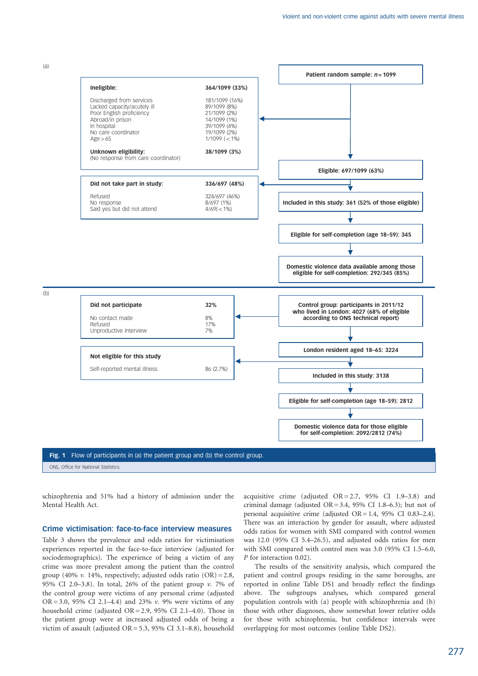

schizophrenia and 51% had a history of admission under the Mental Health Act.

#### Crime victimisation: face-to-face interview measures

Table 3 shows the prevalence and odds ratios for victimisation experiences reported in the face-to-face interview (adjusted for sociodemographics). The experience of being a victim of any crime was more prevalent among the patient than the control group (40%  $v$ . 14%, respectively; adjusted odds ratio (OR) = 2.8, 95% CI 2.0–3.8). In total, 26% of the patient group v. 7% of the control group were victims of any personal crime (adjusted OR = 3.0, 95% CI 2.1–4.4) and 23%  $v$ . 9% were victims of any household crime (adjusted  $OR = 2.9$ , 95% CI 2.1–4.0). Those in the patient group were at increased adjusted odds of being a victim of assault (adjusted OR = 5.3, 95% CI 3.1–8.8), household

acquisitive crime (adjusted OR = 2.7, 95% CI 1.9–3.8) and criminal damage (adjusted  $OR = 3.4$ , 95% CI 1.8–6.3); but not of personal acquisitive crime (adjusted OR = 1.4, 95% CI 0.83–2.4). There was an interaction by gender for assault, where adjusted odds ratios for women with SMI compared with control women was 12.0 (95% CI 5.4–26.5), and adjusted odds ratios for men with SMI compared with control men was 3.0 (95% CI 1.5–6.0, P for interaction 0.02).

The results of the sensitivity analysis, which compared the patient and control groups residing in the same boroughs, are reported in online Table DS1 and broadly reflect the findings above. The subgroups analyses, which compared general population controls with (a) people with schizophrenia and (b) those with other diagnoses, show somewhat lower relative odds for those with schizophrenia, but confidence intervals were overlapping for most outcomes (online Table DS2).

(a)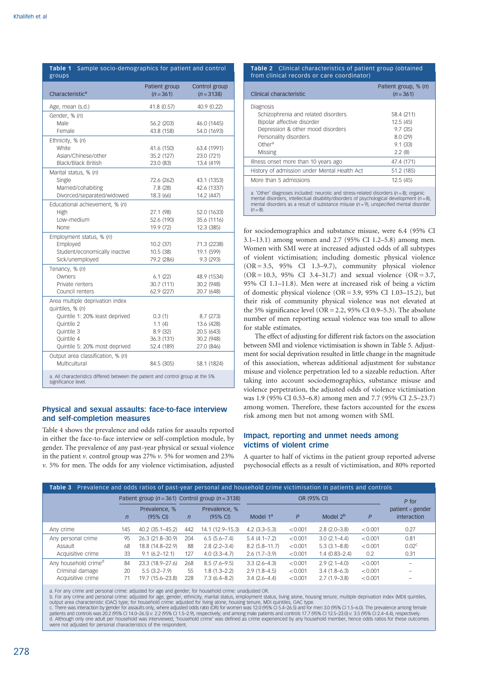| Sample socio-demographics for patient and control<br>Table 1<br>groups                                                                                           |                                                         |                                                                   |  |  |  |  |  |  |
|------------------------------------------------------------------------------------------------------------------------------------------------------------------|---------------------------------------------------------|-------------------------------------------------------------------|--|--|--|--|--|--|
| Characteristic <sup>a</sup>                                                                                                                                      | Patient group<br>$(n = 361)$                            | Control group<br>$(n = 3138)$                                     |  |  |  |  |  |  |
| Age, mean (s.d.)                                                                                                                                                 | 41.8 (0.57)                                             | 40.9 (0.22)                                                       |  |  |  |  |  |  |
| Gender, % (n)<br>Male<br>Female                                                                                                                                  | 56.2 (203)<br>43.8 (158)                                | 46.0 (1445)<br>54.0 (1693)                                        |  |  |  |  |  |  |
| Ethnicity, % (n)<br>White<br>Asian/Chinese/other<br><b>Black/Black British</b>                                                                                   | 41.6 (150)<br>35.2 (127)<br>23.0 (83)                   | 63.4 (1991)<br>23.0 (721)<br>13.4 (419)                           |  |  |  |  |  |  |
| Marital status, % (n)<br>Single<br>Married/cohabiting<br>Divorced/separated/widowed                                                                              | 72.6 (262)<br>7.8 (28)<br>18.3 (66)                     | 43.1 (1353)<br>42.6 (1337)<br>14.2 (447)                          |  |  |  |  |  |  |
| Educational achievement. % (n)<br>High<br>Low-medium<br>None                                                                                                     | 27.1 (98)<br>52.6 (190)<br>19.9 (72)                    | 52.0 (1633)<br>35.6 (1116)<br>12.3 (385)                          |  |  |  |  |  |  |
| Employment status, % (n)<br>Employed<br>Student/economically inactive<br>Sick/unemployed                                                                         | 10.2 (37)<br>10.5(38)<br>79.2 (286)                     | 71.3 (2238)<br>19.1 (599)<br>9.3 (293)                            |  |  |  |  |  |  |
| Tenancy, % (n)<br>Owners<br>Private renters<br>Council renters                                                                                                   | 6.1(22)<br>30.7 (111)<br>62.9 (227)                     | 48.9 (1534)<br>30.2 (948)<br>20.7 (648)                           |  |  |  |  |  |  |
| Area multiple deprivation index<br>quintiles, % (n)<br>Quintile 1: 20% least deprived<br>Ouintile 2<br>Quintile 3<br>Quintile 4<br>Quintile 5: 20% most deprived | 0.3(1)<br>1.1(4)<br>8.9(32)<br>36.3 (131)<br>52.4 (189) | 8.7 (273)<br>13.6 (428)<br>20.5 (643)<br>30.2 (948)<br>27.0 (846) |  |  |  |  |  |  |
| Output area classification, % (n)<br>Multicultural                                                                                                               | 84.5 (305)                                              | 58.1 (1824)                                                       |  |  |  |  |  |  |
| a. All characteristics differed between the patient and control group at the 5%<br>significance level.                                                           |                                                         |                                                                   |  |  |  |  |  |  |

# Physical and sexual assaults: face-to-face interview and self-completion measures

Table 4 shows the prevalence and odds ratios for assaults reported in either the face-to-face interview or self-completion module, by gender. The prevalence of any past-year physical or sexual violence in the patient  $v$ . control group was 27%  $v$ . 5% for women and 23%  $v.$  5% for men. The odds for any violence victimisation, adjusted

Table 2 Clinical characteristics of patient group (obtained from clinical records or care coordinator)

| Clinical characteristic                                                                                                                                                                                                                                                                     | Patient group, % (n)<br>$(n = 361)$                               |
|---------------------------------------------------------------------------------------------------------------------------------------------------------------------------------------------------------------------------------------------------------------------------------------------|-------------------------------------------------------------------|
| Diagnosis<br>Schizophrenia and related disorders<br>Bipolar affective disorder<br>Depression & other mood disorders<br>Personality disorders<br>Other <sup>a</sup><br>Missing                                                                                                               | 58.4 (211)<br>12.5(45)<br>9.7(35)<br>8.0(29)<br>9.1(33)<br>2.2(8) |
| Illness onset more than 10 years ago                                                                                                                                                                                                                                                        | 47.4 (171)                                                        |
| History of admission under Mental Health Act                                                                                                                                                                                                                                                | 51.2 (185)                                                        |
| More than 5 admissions                                                                                                                                                                                                                                                                      | 12.5(45)                                                          |
| a. 'Other' diagnoses included: neurotic and stress-related disorders $(n=8)$ ; organic<br>mental disorders, intellectual disability/disorders of psychological development $(n=8)$ ,<br>mental disorders as a result of substance misuse $(n=9)$ , unspecified mental disorder<br>$(n = 8)$ |                                                                   |

for sociodemographics and substance misuse, were 6.4 (95% CI 3.1–13.1) among women and 2.7 (95% CI 1.2–5.8) among men. Women with SMI were at increased adjusted odds of all subtypes of violent victimisation; including domestic physical violence (OR = 3.5, 95% CI 1.3–9.7), community physical violence  $(OR = 10.3, 95\% \text{ CI } 3.4-31.7)$  and sexual violence  $(OR = 3.7, 1.7)$ 95% CI 1.1–11.8). Men were at increased risk of being a victim of domestic physical violence  $(OR = 3.9, 95\% \text{ CI } 1.03-15.2)$ , but their risk of community physical violence was not elevated at the 5% significance level (OR = 2.2, 95% CI 0.9–5.3). The absolute number of men reporting sexual violence was too small to allow for stable estimates.

The effect of adjusting for different risk factors on the association between SMI and violence victimisation is shown in Table 5. Adjustment for social deprivation resulted in little change in the magnitude of this association, whereas additional adjustment for substance misuse and violence perpetration led to a sizeable reduction. After taking into account sociodemographics, substance misuse and violence perpetration, the adjusted odds of violence victimisation was 1.9 (95% CI 0.53–6.8) among men and 7.7 (95% CI 2.5–23.7) among women. Therefore, these factors accounted for the excess risk among men but not among women with SMI.

# Impact, reporting and unmet needs among victims of violent crime

A quarter to half of victims in the patient group reported adverse psychosocial effects as a result of victimisation, and 80% reported

| Table 3 Prevalence and odds ratios of past-year personal and household crime victimisation in patients and controls |              |                                     |                                                          |                                     |                      |                |                   |         |                                        |  |
|---------------------------------------------------------------------------------------------------------------------|--------------|-------------------------------------|----------------------------------------------------------|-------------------------------------|----------------------|----------------|-------------------|---------|----------------------------------------|--|
|                                                                                                                     |              |                                     | Patient group ( $n = 361$ ) Control group ( $n = 3138$ ) |                                     |                      |                | $P$ for           |         |                                        |  |
|                                                                                                                     | $\mathsf{n}$ | Prevalence, %<br>$(95% \text{ Cl})$ | $\mathsf{n}$                                             | Prevalence, %<br>$(95% \text{ Cl})$ | Model 1 <sup>a</sup> | $\overline{P}$ | Model $2^b$       | P       | $pattern \times gender$<br>interaction |  |
| Any crime                                                                                                           | 145          | 40.2 (35.1-45.2)                    | 442                                                      | 14.1 (12.9–15.3)                    | $4.2$ (3.3–5.3)      | < 0.001        | $2.8(2.0-3.8)$    | < 0.001 | 0.27                                   |  |
| Any personal crime                                                                                                  | 95           | 26.3 (21.8-30.9)                    | 204                                                      | $6.5(5.6 - 7.4)$                    | $5.4(4.1 - 7.2)$     | < 0.001        | $3.0(2.1 - 4.4)$  | < 0.001 | 0.81                                   |  |
| Assault                                                                                                             | 68           | 18.8 (14.8-22.9)                    | 88                                                       | $2.8(2.2 - 3.4)$                    | $8.2(5.8 - 11.7)$    | < 0.001        | $5.3(3.1 - 8.8)$  | < 0.001 | $0.02^{\circ}$                         |  |
| Acquisitive crime                                                                                                   | 33           | $9.1(6.2 - 12.1)$                   | 127                                                      | $4.0(3.3 - 4.7)$                    | $2.6(1.7-3.9)$       | < 0.001        | $1.4(0.83 - 2.4)$ | 0.2     | 0.31                                   |  |
| Any household crime <sup>d</sup>                                                                                    | 84           | 23.3 (18.9-27.6)                    | 268                                                      | $8.5(7.6-9.5)$                      | $3.3(2.6 - 4.3)$     | < 0.001        | $2.9(2.1 - 4.0)$  | < 0.001 |                                        |  |
| Criminal damage                                                                                                     | 20           | $5.5(3.2 - 7.9)$                    | 55                                                       | $1.8(1.3 - 2.2)$                    | $2.9(1.8-4.5)$       | < 0.001        | $3.4(1.8-6.3)$    | < 0.001 |                                        |  |
| Acquisitive crime                                                                                                   | 71           | 19.7 (15.6-23.8)                    | 228                                                      | $7.3(6.4 - 8.2)$                    | $3.4(2.6-4.4)$       | < 0.001        | $2.7(1.9-3.8)$    | < 0.001 |                                        |  |

a. For any crime and personal crime: adjusted for age and gender; for household crime: unadjusted OR.<br>b. For any crime and personal crime: adjusted for age, gender, ethnicity, marital status, employment status, living alon

output area characteristic (OAC) type; for household crime: adjusted for living alone, housing tenure, MDI quintiles, OAC type.<br>c. There was interaction by gender for assaults only, where adjusted odds ratio (OR) for women d. Although only one adult per household was interviewed, 'household crime' was defined as crime experienced by any household member, hence odds ratios for these outcomes were not adjusted for personal characteristics of the respondent.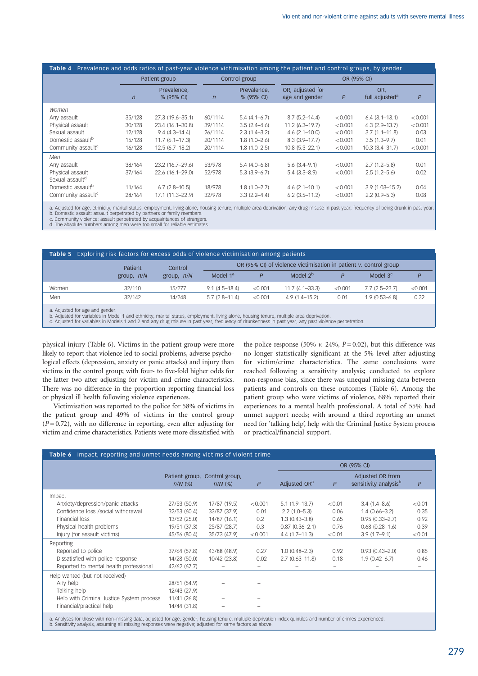| Prevalence and odds ratios of past-year violence victimisation among the patient and control groups, by gender<br>Table 4 |                |                           |                |                           |                                    |         |                                   |         |  |
|---------------------------------------------------------------------------------------------------------------------------|----------------|---------------------------|----------------|---------------------------|------------------------------------|---------|-----------------------------------|---------|--|
|                                                                                                                           | Patient group  |                           | Control group  |                           | OR (95% CI)                        |         |                                   |         |  |
|                                                                                                                           | $\overline{n}$ | Prevalence.<br>% (95% CI) | $\overline{n}$ | Prevalence.<br>% (95% CI) | OR, adjusted for<br>age and gender | P       | OR.<br>full adjusted <sup>a</sup> | P       |  |
| Women                                                                                                                     |                |                           |                |                           |                                    |         |                                   |         |  |
| Any assault                                                                                                               | 35/128         | 27.3 (19.6-35.1)          | 60/1114        | $5.4(4.1-6.7)$            | $8.7(5.2 - 14.4)$                  | < 0.001 | $6.4(3.1-13.1)$                   | < 0.001 |  |
| Physical assault                                                                                                          | 30/128         | 23.4 (16.1-30.8)          | 39/1114        | $3.5(2.4 - 4.6)$          | $11.2(6.3-19.7)$                   | < 0.001 | $6.3(2.9-13.7)$                   | < 0.001 |  |
| Sexual assault                                                                                                            | 12/128         | $9.4(4.3 - 14.4)$         | 26/1114        | $2.3(1.4-3.2)$            | $4.6(2.1 - 10.0)$                  | < 0.001 | $3.7(1.1 - 11.8)$                 | 0.03    |  |
| Domestic assault <sup>b</sup>                                                                                             | 15/128         | $11.7(6.1 - 17.3)$        | 20/1114        | $1.8(1.0 - 2.6)$          | $8.3(3.9 - 17.7)$                  | < 0.001 | $3.5(1.3 - 9.7)$                  | 0.01    |  |
| Community assault <sup>c</sup>                                                                                            | 16/128         | $12.5(6.7-18.2)$          | 20/1114        | $1.8(1.0 - 2.5)$          | $10.8$ $(5.3 - 22.1)$              | < 0.001 | $10.3(3.4 - 31.7)$                | < 0.001 |  |
| Men                                                                                                                       |                |                           |                |                           |                                    |         |                                   |         |  |
| Any assault                                                                                                               | 38/164         | $23.2(16.7-29.6)$         | 53/978         | $5.4(4.0-6.8)$            | $5.6(3.4-9.1)$                     | < 0.001 | $2.7(1.2 - 5.8)$                  | 0.01    |  |
| Physical assault                                                                                                          | 37/164         | $22.6(16.1 - 29.0)$       | 52/978         | $5.3(3.9 - 6.7)$          | $5.4(3.3 - 8.9)$                   | < 0.001 | $2.5(1.2 - 5.6)$                  | 0.02    |  |
| Sexual assault <sup>a</sup>                                                                                               |                |                           | $\equiv$       |                           |                                    |         |                                   |         |  |
| Domestic assault <sup>b</sup>                                                                                             | 11/164         | $6.7(2.8-10.5)$           | 18/978         | $1.8(1.0 - 2.7)$          | $4.6(2.1 - 10.1)$                  | < 0.001 | $3.9(1.03 - 15.2)$                | 0.04    |  |
| Community assault <sup>c</sup>                                                                                            | 28/164         | $17.1(11.3 - 22.9)$       | 32/978         | $3.3(2.2 - 4.4)$          | $6.2(3.5 - 11.2)$                  | < 0.001 | $2.2(0.9-5.3)$                    | 0.08    |  |

a. Adjusted for age, ethnicity, marital status, employment, living alone, housing tenure, multiple area deprivation, any drug misuse in past year, frequency of being drunk in past year

b. Domestic assault: assault perpetrated by partners or family members. c. Community violence: assault perpetrated by acquaintances of strangers.

d. The absolute numbers among men were too small for reliable estimates.

| Table 5 Exploring risk factors for excess odds of violence victimisation among patients |              |                         |                                                                   |         |                    |         |                   |         |
|-----------------------------------------------------------------------------------------|--------------|-------------------------|-------------------------------------------------------------------|---------|--------------------|---------|-------------------|---------|
|                                                                                         | Patient      | Control<br>group, $n/N$ | OR (95% CI) of violence victimisation in patient v. control group |         |                    |         |                   |         |
|                                                                                         | group, $n/N$ |                         | Model 1 <sup>a</sup>                                              |         | Model $2^b$        | P       | Model $3c$        |         |
| Women                                                                                   | 32/110       | 15/277                  | $9.1(4.5 - 18.4)$                                                 | < 0.001 | $11.7(4.1 - 33.3)$ | < 0.001 | $7.7(2.5-23.7)$   | < 0.001 |
| Men                                                                                     | 32/142       | 14/248                  | $5.7(2.8-11.4)$                                                   | < 0.001 | $4.9(1.4-15.2)$    | 0.01    | $1.9(0.53 - 6.8)$ | 0.32    |
|                                                                                         |              |                         |                                                                   |         |                    |         |                   |         |

a. Adjusted for age and gender.<br>b. Adjusted for variables in Model 1 and ethnicity, marital status, employment, living alone, housing tenure, multiple area deprivation.<br>c. Adjusted for variables in Models 1 and 2 and any d

physical injury (Table 6). Victims in the patient group were more likely to report that violence led to social problems, adverse psychological effects (depression, anxiety or panic attacks) and injury than victims in the control group; with four- to five-fold higher odds for the latter two after adjusting for victim and crime characteristics. There was no difference in the proportion reporting financial loss or physical ill health following violence experiences.

Victimisation was reported to the police for 58% of victims in the patient group and 49% of victims in the control group  $(P = 0.72)$ , with no difference in reporting, even after adjusting for victim and crime characteristics. Patients were more dissatisfied with

the police response (50%  $v$ . 24%,  $P = 0.02$ ), but this difference was no longer statistically significant at the 5% level after adjusting for victim/crime characteristics. The same conclusions were reached following a sensitivity analysis; conducted to explore non-response bias, since there was unequal missing data between patients and controls on these outcomes (Table 6). Among the patient group who were victims of violence, 68% reported their experiences to a mental health professional. A total of 55% had unmet support needs; with around a third reporting an unmet need for 'talking help', help with the Criminal Justice System process or practical/financial support.

| Impact, reporting and unmet needs among victims of violent crime<br>Table 6 |                             |                             |         |                          |        |                                                       |        |  |  |  |
|-----------------------------------------------------------------------------|-----------------------------|-----------------------------|---------|--------------------------|--------|-------------------------------------------------------|--------|--|--|--|
|                                                                             |                             |                             |         | OR (95% CI)              |        |                                                       |        |  |  |  |
|                                                                             | Patient group,<br>$n/N$ (%) | Control group,<br>$n/N$ (%) | P       | Adjusted OR <sup>a</sup> | P      | Adjusted OR from<br>sensitivity analysis <sup>b</sup> | P      |  |  |  |
| Impact                                                                      |                             |                             |         |                          |        |                                                       |        |  |  |  |
| Anxiety/depression/panic attacks                                            | 27/53 (50.9)                | 17/87 (19.5)                | < 0.001 | $5.1(1.9-13.7)$          | < 0.01 | $3.4(1.4 - 8.6)$                                      | < 0.01 |  |  |  |
| Confidence loss /social withdrawal                                          | 32/53(60.4)                 | 33/87 (37.9)                | 0.01    | $2.2(1.0-5.3)$           | 0.06   | $1.4(0.66 - 3.2)$                                     | 0.35   |  |  |  |
| Financial loss                                                              | 13/52 (25.0)                | 14/87 (16.1)                | 0.2     | $1.3(0.43 - 3.8)$        | 0.65   | $0.95(0.33 - 2.7)$                                    | 0.92   |  |  |  |
| Physical health problems                                                    | 19/51 (37.3)                | 25/87 (28.7)                | 0.3     | $0.87(0.36 - 2.1)$       | 0.76   | $0.68$ $(0.28 - 1.6)$                                 | 0.39   |  |  |  |
| Injury (for assault victims)                                                | 45/56 (80.4)                | 35/73 (47.9)                | < 0.001 | $4.4(1.7-11.3)$          | < 0.01 | $3.9(1.7-9.1)$                                        | < 0.01 |  |  |  |
| Reporting                                                                   |                             |                             |         |                          |        |                                                       |        |  |  |  |
| Reported to police                                                          | 37/64 (57.8)                | 43/88 (48.9)                | 0.27    | $1.0(0.48 - 2.3)$        | 0.92   | $0.93(0.43 - 2.0)$                                    | 0.85   |  |  |  |
| Dissatisfied with police response                                           | 14/28 (50.0)                | 10/42 (23.8)                | 0.02    | $2.7(0.63 - 11.8)$       | 0.18   | $1.9(0.42 - 6.7)$                                     | 0.46   |  |  |  |
| Reported to mental health professional                                      | 42/62 (67.7)                |                             |         |                          |        |                                                       |        |  |  |  |
| Help wanted (but not received)                                              |                             |                             |         |                          |        |                                                       |        |  |  |  |
| Any help                                                                    | 28/51 (54.9)                |                             |         |                          |        |                                                       |        |  |  |  |
| Talking help                                                                | 12/43 (27.9)                |                             |         |                          |        |                                                       |        |  |  |  |
| Help with Criminal Justice System process                                   | 11/41 (26.8)                |                             |         |                          |        |                                                       |        |  |  |  |
| Financial/practical help                                                    | 14/44 (31.8)                |                             |         |                          |        |                                                       |        |  |  |  |

a. Analyses for those with non–missing data, adjusted for age, gender, housing tenure, multiple deprivation index quintiles and number of crimes experienced.<br>b. Sensitivity analysis, assuming all missing responses were neg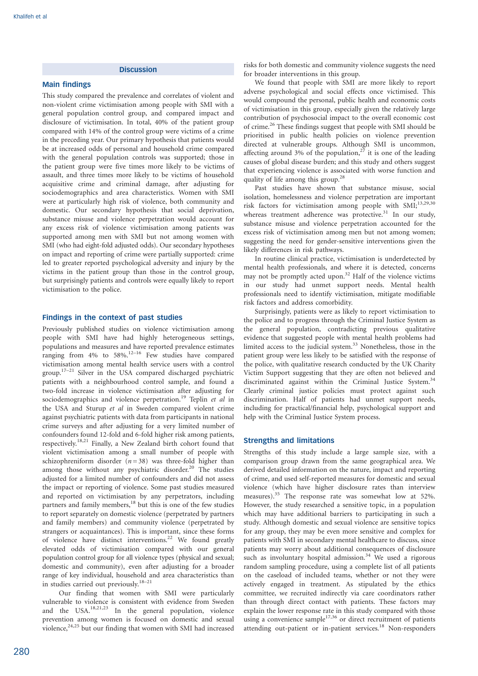## **Discussion**

# Main findings

This study compared the prevalence and correlates of violent and non-violent crime victimisation among people with SMI with a general population control group, and compared impact and disclosure of victimisation. In total, 40% of the patient group compared with 14% of the control group were victims of a crime in the preceding year. Our primary hypothesis that patients would be at increased odds of personal and household crime compared with the general population controls was supported; those in the patient group were five times more likely to be victims of assault, and three times more likely to be victims of household acquisitive crime and criminal damage, after adjusting for sociodemographics and area characteristics. Women with SMI were at particularly high risk of violence, both community and domestic. Our secondary hypothesis that social deprivation, substance misuse and violence perpetration would account for any excess risk of violence victimisation among patients was supported among men with SMI but not among women with SMI (who had eight-fold adjusted odds). Our secondary hypotheses on impact and reporting of crime were partially supported: crime led to greater reported psychological adversity and injury by the victims in the patient group than those in the control group, but surprisingly patients and controls were equally likely to report victimisation to the police.

# Findings in the context of past studies

Previously published studies on violence victimisation among people with SMI have had highly heterogeneous settings, populations and measures and have reported prevalence estimates ranging from  $4\%$  to  $58\%$ .<sup>12–16</sup> Few studies have compared victimisation among mental health service users with a control group.17–21 Silver in the USA compared discharged psychiatric patients with a neighbourhood control sample, and found a two-fold increase in violence victimisation after adjusting for sociodemographics and violence perpetration.<sup>19</sup> Teplin et al in the USA and Sturup et al in Sweden compared violent crime against psychiatric patients with data from participants in national crime surveys and after adjusting for a very limited number of confounders found 12-fold and 6-fold higher risk among patients, respectively.18,21 Finally, a New Zealand birth cohort found that violent victimisation among a small number of people with schizophreniform disorder  $(n = 38)$  was three-fold higher than among those without any psychiatric disorder.<sup>20</sup> The studies adjusted for a limited number of confounders and did not assess the impact or reporting of violence. Some past studies measured and reported on victimisation by any perpetrators, including partners and family members,<sup>18</sup> but this is one of the few studies to report separately on domestic violence (perpetrated by partners and family members) and community violence (perpetrated by strangers or acquaintances). This is important, since these forms of violence have distinct interventions.<sup>22</sup> We found greatly elevated odds of victimisation compared with our general population control group for all violence types (physical and sexual; domestic and community), even after adjusting for a broader range of key individual, household and area characteristics than in studies carried out previously.18–21

Our finding that women with SMI were particularly vulnerable to violence is consistent with evidence from Sweden and the USA.18,21,23 In the general population, violence prevention among women is focused on domestic and sexual violence, $24,25$  but our finding that women with SMI had increased risks for both domestic and community violence suggests the need for broader interventions in this group.

We found that people with SMI are more likely to report adverse psychological and social effects once victimised. This would compound the personal, public health and economic costs of victimisation in this group, especially given the relatively large contribution of psychosocial impact to the overall economic cost of crime.<sup>26</sup> These findings suggest that people with SMI should be prioritised in public health policies on violence prevention directed at vulnerable groups. Although SMI is uncommon, affecting around 3% of the population,<sup>27</sup> it is one of the leading causes of global disease burden; and this study and others suggest that experiencing violence is associated with worse function and quality of life among this group.28

Past studies have shown that substance misuse, social isolation, homelessness and violence perpetration are important risk factors for victimisation among people with SMI;<sup>13,29,30</sup> whereas treatment adherence was protective.<sup>31</sup> In our study, substance misuse and violence perpetration accounted for the excess risk of victimisation among men but not among women; suggesting the need for gender-sensitive interventions given the likely differences in risk pathways.

In routine clinical practice, victimisation is underdetected by mental health professionals, and where it is detected, concerns may not be promptly acted upon.<sup>32</sup> Half of the violence victims in our study had unmet support needs. Mental health professionals need to identify victimisation, mitigate modifiable risk factors and address comorbidity.

Surprisingly, patients were as likely to report victimisation to the police and to progress through the Criminal Justice System as the general population, contradicting previous qualitative evidence that suggested people with mental health problems had limited access to the judicial system.<sup>33</sup> Nonetheless, those in the patient group were less likely to be satisfied with the response of the police, with qualitative research conducted by the UK Charity Victim Support suggesting that they are often not believed and discriminated against within the Criminal Justice System.<sup>34</sup> Clearly criminal justice policies must protect against such discrimination. Half of patients had unmet support needs, including for practical/financial help, psychological support and help with the Criminal Justice System process.

#### Strengths and limitations

Strengths of this study include a large sample size, with a comparison group drawn from the same geographical area. We derived detailed information on the nature, impact and reporting of crime, and used self-reported measures for domestic and sexual violence (which have higher disclosure rates than interview measures).<sup>35</sup> The response rate was somewhat low at 52%. However, the study researched a sensitive topic, in a population which may have additional barriers to participating in such a study. Although domestic and sexual violence are sensitive topics for any group, they may be even more sensitive and complex for patients with SMI in secondary mental healthcare to discuss, since patients may worry about additional consequences of disclosure such as involuntary hospital admission.<sup>34</sup> We used a rigorous random sampling procedure, using a complete list of all patients on the caseload of included teams, whether or not they were actively engaged in treatment. As stipulated by the ethics committee, we recruited indirectly via care coordinators rather than through direct contact with patients. These factors may explain the lower response rate in this study compared with those using a convenience sample<sup>17,36</sup> or direct recruitment of patients attending out-patient or in-patient services.<sup>18</sup> Non-responders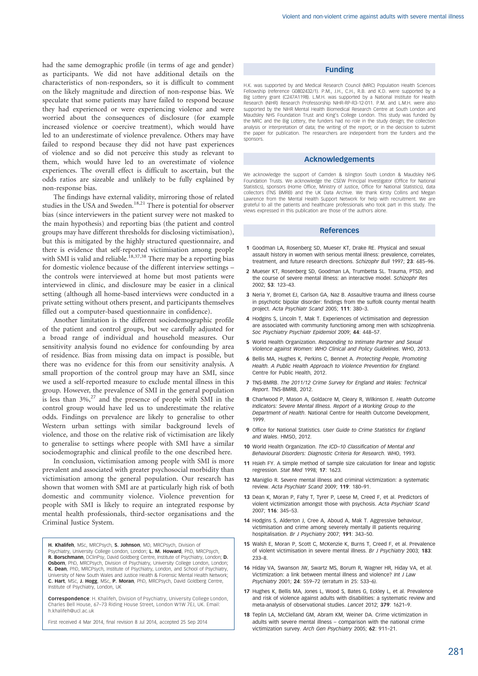had the same demographic profile (in terms of age and gender) as participants. We did not have additional details on the characteristics of non-responders, so it is difficult to comment on the likely magnitude and direction of non-response bias. We speculate that some patients may have failed to respond because they had experienced or were experiencing violence and were worried about the consequences of disclosure (for example increased violence or coercive treatment), which would have led to an underestimate of violence prevalence. Others may have failed to respond because they did not have past experiences of violence and so did not perceive this study as relevant to them, which would have led to an overestimate of violence experiences. The overall effect is difficult to ascertain, but the odds ratios are sizeable and unlikely to be fully explained by non-response bias.

The findings have external validity, mirroring those of related studies in the USA and Sweden.<sup>18,21</sup> There is potential for observer bias (since interviewers in the patient survey were not masked to the main hypothesis) and reporting bias (the patient and control groups may have different thresholds for disclosing victimisation), but this is mitigated by the highly structured questionnaire, and there is evidence that self-reported victimisation among people with SMI is valid and reliable.<sup>18,37,38</sup> There may be a reporting bias for domestic violence because of the different interview settings – the controls were interviewed at home but most patients were interviewed in clinic, and disclosure may be easier in a clinical setting (although all home-based interviews were conducted in a private setting without others present, and participants themselves filled out a computer-based questionnaire in confidence).

Another limitation is the different sociodemographic profile of the patient and control groups, but we carefully adjusted for a broad range of individual and household measures. Our sensitivity analysis found no evidence for confounding by area of residence. Bias from missing data on impact is possible, but there was no evidence for this from our sensitivity analysis. A small proportion of the control group may have an SMI, since we used a self-reported measure to exclude mental illness in this group. However, the prevalence of SMI in the general population is less than  $3\%$ ,<sup>27</sup> and the presence of people with SMI in the control group would have led us to underestimate the relative odds. Findings on prevalence are likely to generalise to other Western urban settings with similar background levels of violence, and those on the relative risk of victimisation are likely to generalise to settings where people with SMI have a similar sociodemographic and clinical profile to the one described here.

In conclusion, victimisation among people with SMI is more prevalent and associated with greater psychosocial morbidity than victimisation among the general population. Our research has shown that women with SMI are at particularly high risk of both domestic and community violence. Violence prevention for people with SMI is likely to require an integrated response by mental health professionals, third-sector organisations and the Criminal Justice System.

H. Khalifeh, MSc, MRCPsych, S. Johnson, MD, MRCPsych, Division of Psychiatry, University College London, London; L. M. Howard, PhD, MRCPsych, R. Borschmann, DClinPsy, David Goldberg Centre, Institute of Psychiatry, London; D. Osborn, PhD, MRCPsych, Division of Psychiatry, University College London, London; **K. Dean,** PhD, MRCPsych, Institute of Psychiatry, London, and School of Psychiatry,<br>University of New South Wales and Justice Health & Forensic Mental Health Network; C. Hart, MSc, J. Hogg, MSc, P. Moran, PhD, MRCPsych, David Goldberg Centre, Institute of Psychiatry, London, UK

Correspondence: H. Khalifeh, Division of Psychiatry, University College London, Charles Bell House, 67–73 Riding House Street, London W1W 7EJ, UK. Email: h.khalifeh@ucl.ac.uk

First received 4 Mar 2014, final revision 8 Jul 2014, accepted 25 Sep 2014

#### Funding

H.K. was supported by and Medical Research Council (MRC) Population Health Sciences Fellowship (reference G0802432/1). P.M., J.H., C.H., R.B. and K.D. were supported by a Big Lottery grant (C247A1198). L.M.H. was supported by a National Institute for Health Research (NIHR) Research Professorship NIHR-RP-R3-12-011. P.M. and L.M.H. were also supported by the NIHR Mental Health Biomedical Research Centre at South London and Maudsley NHS Foundation Trust and King's College London. This study was funded by the MRC and the Big Lottery, the funders had no role in the study design; the collection analysis or interpretation of data; the writing of the report; or in the decision to submit the paper for publication. The researchers are independent from the funders and the sponsors.

#### Acknowledgements

We acknowledge the support of Camden & Islington South London & Maudsley NHS Foundation Trusts. We acknowledge the CSEW Principal Investigator (Office for National Statistics), sponsors (Home Office, Ministry of Justice, Office for National Statistics), data collectors (TNS BMRB) and the UK Data Archive. We thank Kirsty Collins and Megan Lawrence from the Mental Health Support Network for help with recruitment. We are grateful to all the patients and healthcare professionals who took part in this study. The views expressed in this publication are those of the authors alone.

#### References

- 1 Goodman LA, Rosenberg SD, Mueser KT, Drake RE. Physical and sexual assault history in women with serious mental illness: prevalence, correlates, treatment, and future research directions. Schizophr Bull 1997; 23: 685–96.
- 2 Mueser KT, Rosenberg SD, Goodman LA, Trumbetta SL. Trauma, PTSD, and the course of severe mental illness: an interactive model. Schizophr Res 2002; 53: 123–43.
- 3 Neria Y, Bromet EJ, Carlson GA, Naz B. Assaultive trauma and illness course in psychotic bipolar disorder: findings from the suffolk county mental health project. Acta Psychiatr Scand 2005; 111: 380–3.
- 4 Hodgins S, Lincoln T, Mak T. Experiences of victimisation and depression are associated with community functioning among men with schizophrenia. Soc Psychiatry Psychiatr Epidemiol 2009; 44: 448–57.
- 5 World Health Organization. Responding to Intimate Partner and Sexual Violence against Women: WHO Clinical and Policy Guidelines. WHO, 2013.
- 6 Bellis MA, Hughes K, Perkins C, Bennet A. Protecting People, Promoting Health. A Public Health Approach to Violence Prevention for England. Centre for Public Health, 2012.
- 7 TNS-BMRB. The 2011/12 Crime Survey for England and Wales: Technical Report. TNS-BMRB, 2012.
- 8 Charlwood P, Mason A, Goldacre M, Cleary R, Wilkinson E, Health Outcome Indicators: Severe Mental Illness. Report of a Working Group to the Department of Health. National Centre for Health Outcome Development 1999.
- 9 Office for National Statistics. User Guide to Crime Statistics for England and Wales. HMSO, 2012.
- 10 World Health Organization. The ICD-10 Classification of Mental and Behavioural Disorders: Diagnostic Criteria for Research. WHO, 1993.
- 11 Hsieh FY. A simple method of sample size calculation for linear and logistic regression. Stat Med 1998; 17: 1623.
- 12 Maniglio R. Severe mental illness and criminal victimization: a systematic review. Acta Psychiatr Scand 2009; 119: 180–91.
- 13 Dean K, Moran P, Fahy T, Tyrer P, Leese M, Creed F, et al. Predictors of violent victimization amongst those with psychosis. Acta Psychiatr Scand 2007; 116: 345–53.
- 14 Hodgins S, Alderton J, Cree A, Aboud A, Mak T. Aggressive behaviour, victimisation and crime among severely mentally ill patients requiring hospitalisation. Br J Psychiatry 2007; 191: 343–50.
- 15 Walsh E, Moran P, Scott C, McKenzie K, Burns T, Creed F, et al. Prevalence of violent victimisation in severe mental illness. Br J Psychiatry 2003; 183: 233–8.
- 16 Hiday VA, Swanson JW, Swartz MS, Borum R, Wagner HR, Hiday VA, et al. Victimization: a link between mental illness and violence? Int J Law Psychiatry 2001; 24: 559–72 (erratum in 25: 533–6).
- 17 Hughes K, Bellis MA, Jones L, Wood S, Bates G, Eckley L, et al. Prevalence and risk of violence against adults with disabilities: a systematic review and meta-analysis of observational studies. Lancet 2012: 379: 1621–9.
- 18 Teplin LA, McClelland GM, Abram KM, Weiner DA. Crime victimization in adults with severe mental illness – comparison with the national crime victimization survey. Arch Gen Psychiatry 2005; 62: 911–21.